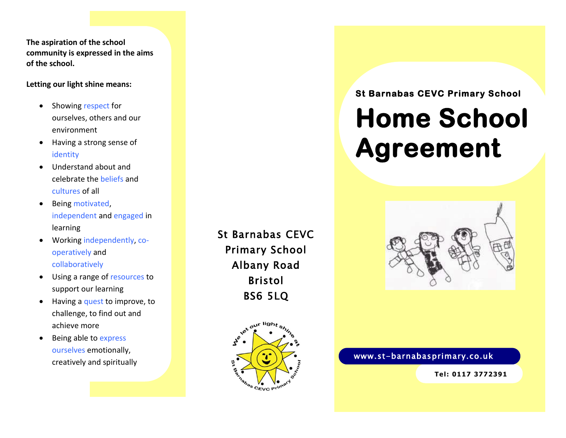**The aspiration of the school community is expressed in the aims of the school.**

#### **Letting our light shine means:**

- Showing respect for ourselves, others and our environment
- Having a strong sense of identity
- Understand about and celebrate the beliefs and cultures of all
- Being motivated, independent and engaged in learning
- Working independently, cooperatively and collaboratively
- Using a range of resources to support our learning
- Having a quest to improve, to challenge, to find out and achieve more
- Being able to express ourselves emotionally, creatively and spiritually

St Barnabas CEVC Primary School Albany Road Bristol BS6 5LQ



## **St Barnabas CEVC Primary School**

# **Home School Agreement**



## www.st-barnabasprimary.co.uk

**Tel: 0117 3772391**